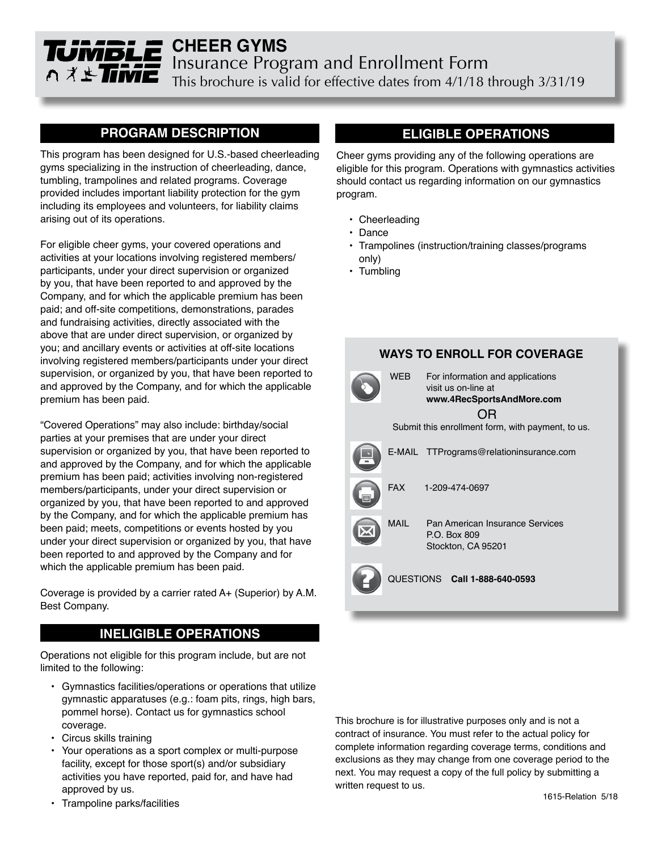# **CHEER GYMS**

Insurance Program and Enrollment Form

This brochure is valid for effective dates from 4/1/18 through 3/31/19

# **PROGRAM DESCRIPTION**

This program has been designed for U.S.-based cheerleading gyms specializing in the instruction of cheerleading, dance, tumbling, trampolines and related programs. Coverage provided includes important liability protection for the gym including its employees and volunteers, for liability claims arising out of its operations.

For eligible cheer gyms, your covered operations and activities at your locations involving registered members/ participants, under your direct supervision or organized by you, that have been reported to and approved by the Company, and for which the applicable premium has been paid; and off-site competitions, demonstrations, parades and fundraising activities, directly associated with the above that are under direct supervision, or organized by you; and ancillary events or activities at off-site locations involving registered members/participants under your direct supervision, or organized by you, that have been reported to and approved by the Company, and for which the applicable premium has been paid.

"Covered Operations" may also include: birthday/social parties at your premises that are under your direct supervision or organized by you, that have been reported to and approved by the Company, and for which the applicable premium has been paid; activities involving non-registered members/participants, under your direct supervision or organized by you, that have been reported to and approved by the Company, and for which the applicable premium has been paid; meets, competitions or events hosted by you under your direct supervision or organized by you, that have been reported to and approved by the Company and for which the applicable premium has been paid.

Coverage is provided by a carrier rated A+ (Superior) by A.M. Best Company.

# **INELIGIBLE OPERATIONS**

Operations not eligible for this program include, but are not limited to the following:

- Gymnastics facilities/operations or operations that utilize gymnastic apparatuses (e.g.: foam pits, rings, high bars, pommel horse). Contact us for gymnastics school coverage.
- Circus skills training
- Your operations as a sport complex or multi-purpose facility, except for those sport(s) and/or subsidiary activities you have reported, paid for, and have had approved by us.
- Trampoline parks/facilities

## **ELIGIBLE OPERATIONS**

Cheer gyms providing any of the following operations are eligible for this program. Operations with gymnastics activities should contact us regarding information on our gymnastics program.

- Cheerleading
- Dance
- Trampolines (instruction/training classes/programs only)
- Tumbling

### **WAYS TO ENROLL FOR COVERAGE**



This brochure is for illustrative purposes only and is not a contract of insurance. You must refer to the actual policy for complete information regarding coverage terms, conditions and exclusions as they may change from one coverage period to the next. You may request a copy of the full policy by submitting a written request to us.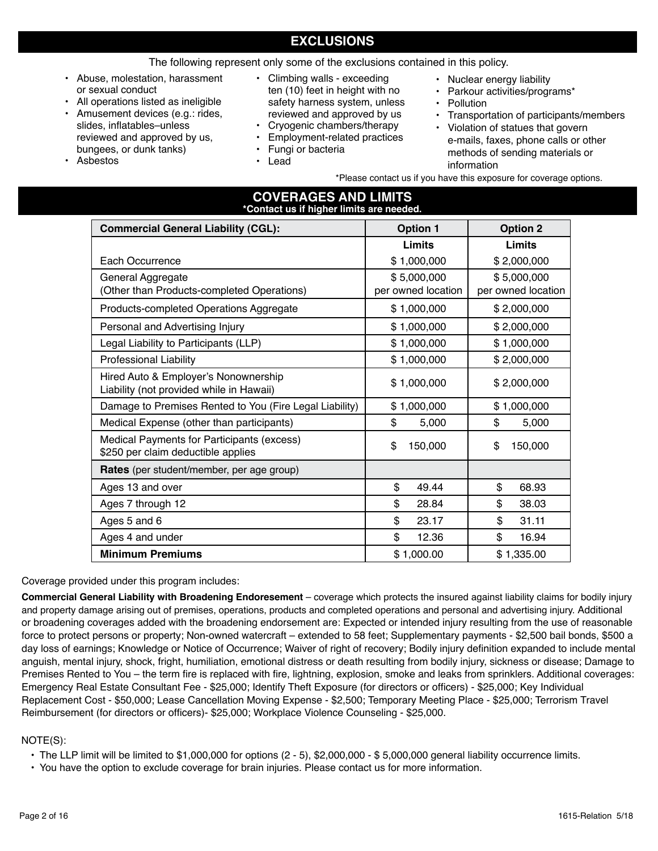# **EXCLUSIONS**

The following represent only some of the exclusions contained in this policy.

- Abuse, molestation, harassment or sexual conduct
- All operations listed as ineligible • Amusement devices (e.g.: rides,
- slides, inflatables–unless reviewed and approved by us, bungees, or dunk tanks) • Asbestos
- Climbing walls exceeding ten (10) feet in height with no safety harness system, unless reviewed and approved by us
- Cryogenic chambers/therapy
- Employment-related practices
- Fungi or bacteria
- Lead
- Nuclear energy liability
- Parkour activities/programs\*
- **Pollution**
- Transportation of participants/members
- Violation of statues that govern e-mails, faxes, phone calls or other methods of sending materials or information

\*Please contact us if you have this exposure for coverage options.

### **COVERAGES AND LIMITS \*Contact us if higher limits are needed.**

| <b>Commercial General Liability (CGL):</b>                                       | <b>Option 1</b>                   | <b>Option 2</b>                   |
|----------------------------------------------------------------------------------|-----------------------------------|-----------------------------------|
|                                                                                  | <b>Limits</b>                     | Limits                            |
| Each Occurrence                                                                  | \$1,000,000                       | \$2,000,000                       |
| General Aggregate<br>(Other than Products-completed Operations)                  | \$5,000,000<br>per owned location | \$5,000,000<br>per owned location |
| Products-completed Operations Aggregate                                          | \$1,000,000                       | \$2,000,000                       |
| Personal and Advertising Injury                                                  | \$1,000,000                       | \$2,000,000                       |
| Legal Liability to Participants (LLP)                                            | \$1,000,000                       | \$1,000,000                       |
| <b>Professional Liability</b>                                                    | \$1,000,000                       | \$2,000,000                       |
| Hired Auto & Employer's Nonownership<br>Liability (not provided while in Hawaii) | \$1,000,000                       | \$2,000,000                       |
| Damage to Premises Rented to You (Fire Legal Liability)                          | \$1,000,000                       | \$1,000,000                       |
| Medical Expense (other than participants)                                        | \$<br>5,000                       | \$<br>5,000                       |
| Medical Payments for Participants (excess)<br>\$250 per claim deductible applies | \$<br>150,000                     | \$<br>150,000                     |
| Rates (per student/member, per age group)                                        |                                   |                                   |
| Ages 13 and over                                                                 | \$<br>49.44                       | \$<br>68.93                       |
| Ages 7 through 12                                                                | \$<br>28.84                       | \$<br>38.03                       |
| Ages 5 and 6                                                                     | \$<br>23.17                       | \$<br>31.11                       |
| Ages 4 and under                                                                 | \$<br>12.36                       | \$<br>16.94                       |
| <b>Minimum Premiums</b>                                                          | \$1,000.00                        | \$1,335.00                        |

Coverage provided under this program includes:

**Commercial General Liability with Broadening Endoresement** – coverage which protects the insured against liability claims for bodily injury and property damage arising out of premises, operations, products and completed operations and personal and advertising injury. Additional or broadening coverages added with the broadening endorsement are: Expected or intended injury resulting from the use of reasonable force to protect persons or property; Non-owned watercraft – extended to 58 feet; Supplementary payments - \$2,500 bail bonds, \$500 a day loss of earnings; Knowledge or Notice of Occurrence; Waiver of right of recovery; Bodily injury definition expanded to include mental anguish, mental injury, shock, fright, humiliation, emotional distress or death resulting from bodily injury, sickness or disease; Damage to Premises Rented to You – the term fire is replaced with fire, lightning, explosion, smoke and leaks from sprinklers. Additional coverages: Emergency Real Estate Consultant Fee - \$25,000; Identify Theft Exposure (for directors or officers) - \$25,000; Key Individual Replacement Cost - \$50,000; Lease Cancellation Moving Expense - \$2,500; Temporary Meeting Place - \$25,000; Terrorism Travel Reimbursement (for directors or officers)- \$25,000; Workplace Violence Counseling - \$25,000.

### NOTE(S):

• The LLP limit will be limited to \$1,000,000 for options (2 - 5), \$2,000,000 - \$5,000,000 general liability occurrence limits.

• You have the option to exclude coverage for brain injuries. Please contact us for more information.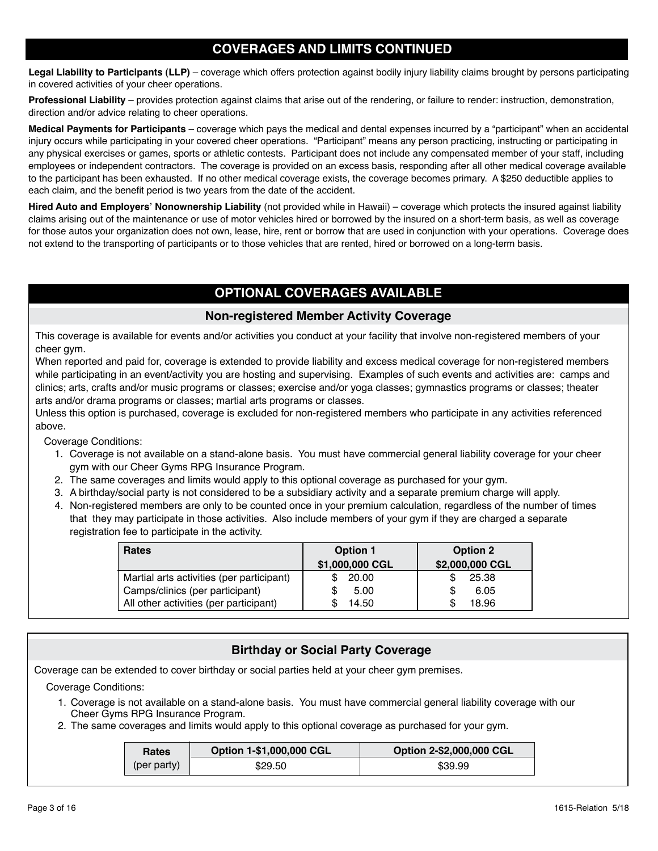# **COVERAGES AND LIMITS CONTINUED**

Legal Liability to Participants (LLP) – coverage which offers protection against bodily injury liability claims brought by persons participating in covered activities of your cheer operations.

**Professional Liability** – provides protection against claims that arise out of the rendering, or failure to render: instruction, demonstration, direction and/or advice relating to cheer operations.

**Medical Payments for Participants** – coverage which pays the medical and dental expenses incurred by a "participant" when an accidental injury occurs while participating in your covered cheer operations. "Participant" means any person practicing, instructing or participating in any physical exercises or games, sports or athletic contests. Participant does not include any compensated member of your staff, including employees or independent contractors. The coverage is provided on an excess basis, responding after all other medical coverage available to the participant has been exhausted. If no other medical coverage exists, the coverage becomes primary. A \$250 deductible applies to each claim, and the benefit period is two years from the date of the accident.

**Hired Auto and Employers' Nonownership Liability** (not provided while in Hawaii) – coverage which protects the insured against liability claims arising out of the maintenance or use of motor vehicles hired or borrowed by the insured on a short-term basis, as well as coverage for those autos your organization does not own, lease, hire, rent or borrow that are used in conjunction with your operations. Coverage does not extend to the transporting of participants or to those vehicles that are rented, hired or borrowed on a long-term basis.

# **OPTIONAL COVERAGES AVAILABLE**

### **Non-registered Member Activity Coverage**

This coverage is available for events and/or activities you conduct at your facility that involve non-registered members of your cheer gym.

When reported and paid for, coverage is extended to provide liability and excess medical coverage for non-registered members while participating in an event/activity you are hosting and supervising. Examples of such events and activities are: camps and clinics; arts, crafts and/or music programs or classes; exercise and/or yoga classes; gymnastics programs or classes; theater arts and/or drama programs or classes; martial arts programs or classes.

Unless this option is purchased, coverage is excluded for non-registered members who participate in any activities referenced above.

Coverage Conditions:

- 1. Coverage is not available on a stand-alone basis. You must have commercial general liability coverage for your cheer gym with our Cheer Gyms RPG Insurance Program.
- 2. The same coverages and limits would apply to this optional coverage as purchased for your gym.
- 3. A birthday/social party is not considered to be a subsidiary activity and a separate premium charge will apply.
- 4. Non-registered members are only to be counted once in your premium calculation, regardless of the number of times that they may participate in those activities. Also include members of your gym if they are charged a separate registration fee to participate in the activity.

| <b>Rates</b>                              | <b>Option 1</b> | <b>Option 2</b> |
|-------------------------------------------|-----------------|-----------------|
|                                           | \$1,000,000 CGL | \$2,000,000 CGL |
| Martial arts activities (per participant) | 20.00           | 25.38           |
| Camps/clinics (per participant)           | 5.00            | 6.05            |
| All other activities (per participant)    | 14.50           | 18.96           |

### **Birthday or Social Party Coverage**

Coverage can be extended to cover birthday or social parties held at your cheer gym premises.

Coverage Conditions:

- 1. Coverage is not available on a stand-alone basis. You must have commercial general liability coverage with our Cheer Gyms RPG Insurance Program.
- 2. The same coverages and limits would apply to this optional coverage as purchased for your gym.

| <b>Rates</b> | Option 1-\$1,000,000 CGL | Option 2-\$2,000,000 CGL |
|--------------|--------------------------|--------------------------|
| (per party)  | \$29.50                  | \$39.99                  |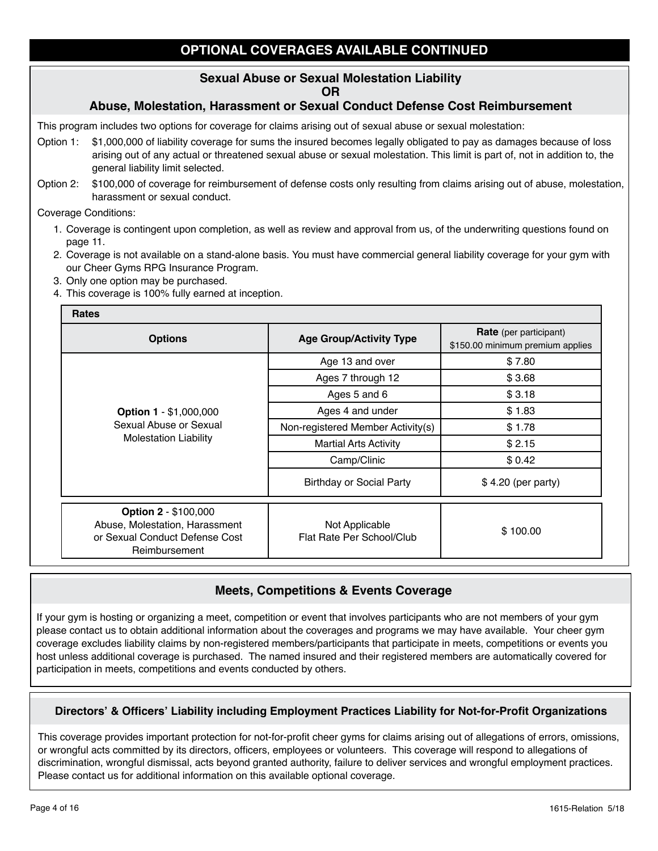# **OPTIONAL COVERAGES AVAILABLE CONTINUED**

#### **Sexual Abuse or Sexual Molestation Liability OR**

### **Abuse, Molestation, Harassment or Sexual Conduct Defense Cost Reimbursement**

This program includes two options for coverage for claims arising out of sexual abuse or sexual molestation:

- Option 1: \$1,000,000 of liability coverage for sums the insured becomes legally obligated to pay as damages because of loss arising out of any actual or threatened sexual abuse or sexual molestation. This limit is part of, not in addition to, the general liability limit selected.
- Option 2: \$100,000 of coverage for reimbursement of defense costs only resulting from claims arising out of abuse, molestation, harassment or sexual conduct.

Coverage Conditions:

- 1. Coverage is contingent upon completion, as well as review and approval from us, of the underwriting questions found on page 11.
- 2. Coverage is not available on a stand-alone basis. You must have commercial general liability coverage for your gym with our Cheer Gyms RPG Insurance Program.
- 3. Only one option may be purchased.
- 4. This coverage is 100% fully earned at inception.

| <b>Options</b>                                                                                                   | <b>Age Group/Activity Type</b>              | <b>Rate</b> (per participant)<br>\$150.00 minimum premium applies |  |  |
|------------------------------------------------------------------------------------------------------------------|---------------------------------------------|-------------------------------------------------------------------|--|--|
| <b>Option 1 - \$1,000,000</b><br>Sexual Abuse or Sexual<br><b>Molestation Liability</b>                          | Age 13 and over                             | \$7.80                                                            |  |  |
|                                                                                                                  | Ages 7 through 12                           | \$3.68                                                            |  |  |
|                                                                                                                  | Ages 5 and 6                                | \$3.18                                                            |  |  |
|                                                                                                                  | Ages 4 and under                            | \$1.83                                                            |  |  |
|                                                                                                                  | Non-registered Member Activity(s)           | \$1.78                                                            |  |  |
|                                                                                                                  | <b>Martial Arts Activity</b>                | \$2.15                                                            |  |  |
|                                                                                                                  | Camp/Clinic                                 | \$0.42                                                            |  |  |
|                                                                                                                  | Birthday or Social Party                    | $$4.20$ (per party)                                               |  |  |
| <b>Option 2 - \$100,000</b><br>Abuse, Molestation, Harassment<br>or Sexual Conduct Defense Cost<br>Reimbursement | Not Applicable<br>Flat Rate Per School/Club | \$100.00                                                          |  |  |

### **Meets, Competitions & Events Coverage**

If your gym is hosting or organizing a meet, competition or event that involves participants who are not members of your gym please contact us to obtain additional information about the coverages and programs we may have available. Your cheer gym coverage excludes liability claims by non-registered members/participants that participate in meets, competitions or events you host unless additional coverage is purchased. The named insured and their registered members are automatically covered for participation in meets, competitions and events conducted by others.

### **Directors' & Officers' Liability including Employment Practices Liability for Not-for-Profit Organizations**

This coverage provides important protection for not-for-profit cheer gyms for claims arising out of allegations of errors, omissions, or wrongful acts committed by its directors, officers, employees or volunteers. This coverage will respond to allegations of discrimination, wrongful dismissal, acts beyond granted authority, failure to deliver services and wrongful employment practices. Please contact us for additional information on this available optional coverage.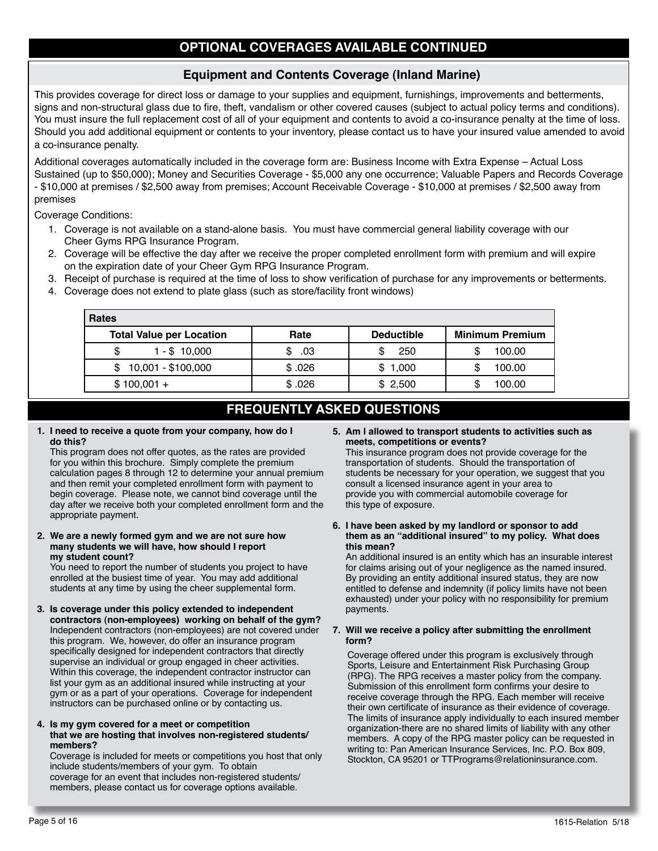# **OPTIONAL COVERAGES AVAILABLE CONTINUED**

### **Equipment and Contents Coverage (Inland Marine)**

This provides coverage for direct loss or damage to your supplies and equipment, furnishings, improvements and betterments, signs and non-structural glass due to fire, theft, vandalism or other covered causes (subject to actual policy terms and conditions). You must insure the full replacement cost of all of your equipment and contents to avoid a co-insurance penalty at the time of loss. Should you add additional equipment or contents to your inventory, please contact us to have your insured value amended to avoid a co-insurance penalty.

Additional coverages automatically included in the coverage form are: Business Income with Extra Expense – Actual Loss Sustained (up to \$50,000); Money and Securities Coverage - \$5,000 any one occurrence; Valuable Papers and Records Coverage - \$10,000 at premises / \$2,500 away from premises; Account Receivable Coverage - \$10,000 at premises / \$2,500 away from premises

Coverage Conditions:

- 1. Coverage is not available on a stand-alone basis. You must have commercial general liability coverage with our Cheer Gyms RPG Insurance Program.
- 2. Coverage will be effective the day after we receive the proper completed enrollment form with premium and will expire on the expiration date of your Cheer Gym RPG Insurance Program.
- 3. Receipt of purchase is required at the time of loss to show verification of purchase for any improvements or betterments.
- 4. Coverage does not extend to plate glass (such as store/facility front windows)

| <b>Rates</b>                    |          |                   |                        |  |  |  |
|---------------------------------|----------|-------------------|------------------------|--|--|--|
| <b>Total Value per Location</b> | Rate     | <b>Deductible</b> | <b>Minimum Premium</b> |  |  |  |
| $1 - $10,000$                   | .03<br>S | 250               | 100.00                 |  |  |  |
| 10,001 - \$100,000<br>S.        | \$.026   | \$1,000           | 100.00                 |  |  |  |
| $$100,001 +$                    | \$.026   | \$2,500           | 100.00                 |  |  |  |

# **FREQUENTLY ASKED QUESTIONS**

**1. I need to receive a quote from your company, how do I do this?**

This program does not offer quotes, as the rates are provided for you within this brochure. Simply complete the premium calculation pages 8 through 12 to determine your annual premium and then remit your completed enrollment form with payment to begin coverage. Please note, we cannot bind coverage until the day after we receive both your completed enrollment form and the appropriate payment.

**2. We are a newly formed gym and we are not sure how many students we will have, how should I report my student count?**

You need to report the number of students you project to have enrolled at the busiest time of year. You may add additional students at any time by using the cheer supplemental form.

**3. Is coverage under this policy extended to independent contractors (non-employees) working on behalf of the gym?** Independent contractors (non-employees) are not covered under this program. We, however, do offer an insurance program specifically designed for independent contractors that directly supervise an individual or group engaged in cheer activities. Within this coverage, the independent contractor instructor can list your gym as an additional insured while instructing at your gym or as a part of your operations. Coverage for independent instructors can be purchased online or by contacting us.

#### **4. Is my gym covered for a meet or competition that we are hosting that involves non-registered students/ members?**

Coverage is included for meets or competitions you host that only include students/members of your gym. To obtain coverage for an event that includes non-registered students/ members, please contact us for coverage options available.

**5. Am I allowed to transport students to activities such as meets, competitions or events?**

This insurance program does not provide coverage for the transportation of students. Should the transportation of students be necessary for your operation, we suggest that you consult a licensed insurance agent in your area to provide you with commercial automobile coverage for this type of exposure.

**6. I have been asked by my landlord or sponsor to add them as an "additional insured" to my policy. What does this mean?**

An additional insured is an entity which has an insurable interest for claims arising out of your negligence as the named insured. By providing an entity additional insured status, they are now entitled to defense and indemnity (if policy limits have not been exhausted) under your policy with no responsibility for premium payments.

#### **7. Will we receive a policy after submitting the enrollment form?**

Coverage offered under this program is exclusively through Sports, Leisure and Entertainment Risk Purchasing Group (RPG). The RPG receives a master policy from the company. Submission of this enrollment form confirms your desire to receive coverage through the RPG. Each member will receive their own certificate of insurance as their evidence of coverage. The limits of insurance apply individually to each insured member organization-there are no shared limits of liability with any other members. A copy of the RPG master policy can be requested in writing to: Pan American Insurance Services, Inc. P.O. Box 809, Stockton, CA 95201 or TTPrograms@relationinsurance.com.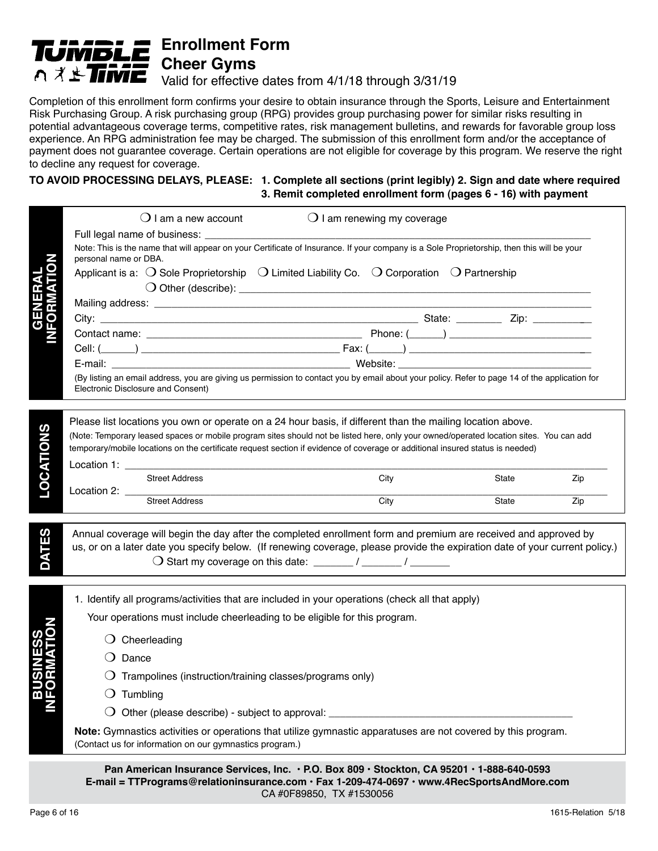

Completion of this enrollment form confirms your desire to obtain insurance through the Sports, Leisure and Entertainment Risk Purchasing Group. A risk purchasing group (RPG) provides group purchasing power for similar risks resulting in potential advantageous coverage terms, competitive rates, risk management bulletins, and rewards for favorable group loss experience. An RPG administration fee may be charged. The submission of this enrollment form and/or the acceptance of payment does not guarantee coverage. Certain operations are not eligible for coverage by this program. We reserve the right to decline any request for coverage.

### **TO AVOID PROCESSING DELAYS, PLEASE: 1. Complete all sections (print legibly) 2. Sign and date where required 3. Remit completed enrollment form (pages 6 - 16) with payment**

|                      | $\bigcirc$ I am a new account                                                                                                                                                                                                                                     | $\bigcirc$ I am renewing my coverage                                                                                                                                                                                                                                                                                                                                                                                         |                              |  |
|----------------------|-------------------------------------------------------------------------------------------------------------------------------------------------------------------------------------------------------------------------------------------------------------------|------------------------------------------------------------------------------------------------------------------------------------------------------------------------------------------------------------------------------------------------------------------------------------------------------------------------------------------------------------------------------------------------------------------------------|------------------------------|--|
| GENERAL<br>FORMATI   | personal name or DBA.<br>Electronic Disclosure and Consent)                                                                                                                                                                                                       | Note: This is the name that will appear on your Certificate of Insurance. If your company is a Sole Proprietorship, then this will be your<br>Applicant is a: $\bigcirc$ Sole Proprietorship $\bigcirc$ Limited Liability Co. $\bigcirc$ Corporation $\bigcirc$ Partnership<br>(By listing an email address, you are giving us permission to contact you by email about your policy. Refer to page 14 of the application for |                              |  |
| ഗ<br><b>LOCATION</b> |                                                                                                                                                                                                                                                                   | Please list locations you own or operate on a 24 hour basis, if different than the mailing location above.<br>(Note: Temporary leased spaces or mobile program sites should not be listed here, only your owned/operated location sites. You can add<br>temporary/mobile locations on the certificate request section if evidence of coverage or additional insured status is needed)                                        |                              |  |
|                      | <b>Street Address</b>                                                                                                                                                                                                                                             | City<br>City                                                                                                                                                                                                                                                                                                                                                                                                                 | State<br>Zip<br>State<br>Zip |  |
| <b>TES</b>           |                                                                                                                                                                                                                                                                   | Annual coverage will begin the day after the completed enrollment form and premium are received and approved by<br>us, or on a later date you specify below. (If renewing coverage, please provide the expiration date of your current policy.)                                                                                                                                                                              |                              |  |
| SINE<br>mĚ           | $\bigcirc$ Cheerleading<br>$\bigcirc$ Dance<br>$\bigcirc$ Trampolines (instruction/training classes/programs only)<br>$\bigcirc$ Tumbling<br>$\bigcirc$ Other (please describe) - subject to approval:<br>(Contact us for information on our gymnastics program.) | 1. Identify all programs/activities that are included in your operations (check all that apply)<br>Your operations must include cheerleading to be eligible for this program.<br>Note: Gymnastics activities or operations that utilize gymnastic apparatuses are not covered by this program.                                                                                                                               |                              |  |
|                      |                                                                                                                                                                                                                                                                   | Pan American Insurance Services, Inc. . P.O. Box 809 · Stockton, CA 95201 · 1-888-640-0593                                                                                                                                                                                                                                                                                                                                   |                              |  |

**E-mail = TTPrograms@relationinsurance.com • Fax 1-209-474-0697 • www.4RecSportsAndMore.com** CA #0F89850, TX #1530056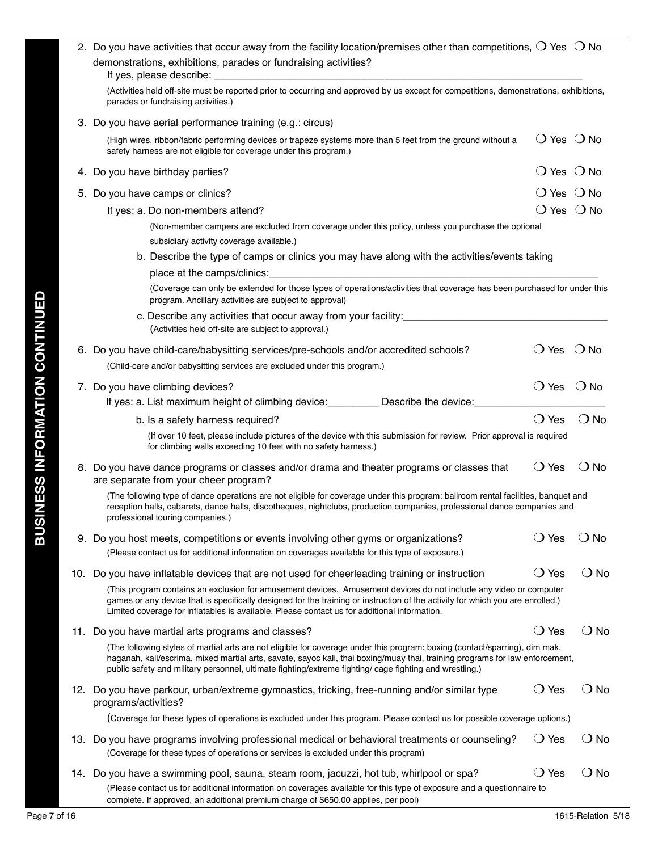| 2. Do you have activities that occur away from the facility location/premises other than competitions, $\bigcirc$ Yes $\bigcirc$ No                                                                                                                                                                                                                                   |                              |               |
|-----------------------------------------------------------------------------------------------------------------------------------------------------------------------------------------------------------------------------------------------------------------------------------------------------------------------------------------------------------------------|------------------------------|---------------|
| demonstrations, exhibitions, parades or fundraising activities?                                                                                                                                                                                                                                                                                                       |                              |               |
| (Activities held off-site must be reported prior to occurring and approved by us except for competitions, demonstrations, exhibitions,<br>parades or fundraising activities.)                                                                                                                                                                                         |                              |               |
| 3. Do you have aerial performance training (e.g.: circus)                                                                                                                                                                                                                                                                                                             |                              |               |
| (High wires, ribbon/fabric performing devices or trapeze systems more than 5 feet from the ground without a<br>safety harness are not eligible for coverage under this program.)                                                                                                                                                                                      | $\bigcirc$ Yes $\bigcirc$ No |               |
| 4. Do you have birthday parties?                                                                                                                                                                                                                                                                                                                                      | $\bigcirc$ Yes $\bigcirc$ No |               |
| 5. Do you have camps or clinics?                                                                                                                                                                                                                                                                                                                                      | $\bigcirc$ Yes $\bigcirc$ No |               |
| If yes: a. Do non-members attend?                                                                                                                                                                                                                                                                                                                                     | $\bigcirc$ Yes $\bigcirc$ No |               |
| (Non-member campers are excluded from coverage under this policy, unless you purchase the optional                                                                                                                                                                                                                                                                    |                              |               |
| subsidiary activity coverage available.)                                                                                                                                                                                                                                                                                                                              |                              |               |
| b. Describe the type of camps or clinics you may have along with the activities/events taking                                                                                                                                                                                                                                                                         |                              |               |
|                                                                                                                                                                                                                                                                                                                                                                       |                              |               |
| (Coverage can only be extended for those types of operations/activities that coverage has been purchased for under this<br>program. Ancillary activities are subject to approval)                                                                                                                                                                                     |                              |               |
| c. Describe any activities that occur away from your facility: [11] Describe any activities that occur away from your facility:<br>(Activities held off-site are subject to approval.)                                                                                                                                                                                |                              |               |
| 6. Do you have child-care/babysitting services/pre-schools and/or accredited schools?<br>(Child-care and/or babysitting services are excluded under this program.)                                                                                                                                                                                                    | $\bigcirc$ Yes $\bigcirc$ No |               |
| 7. Do you have climbing devices?                                                                                                                                                                                                                                                                                                                                      | $O$ Yes $O$ No               |               |
| If yes: a. List maximum height of climbing device: Describe the device: 11 Maxwell 10 Maxwell 10 Maxwell 10 Ma                                                                                                                                                                                                                                                        |                              |               |
| b. Is a safety harness required?                                                                                                                                                                                                                                                                                                                                      | $\bigcirc$ Yes               | ○ No          |
| (If over 10 feet, please include pictures of the device with this submission for review. Prior approval is required<br>for climbing walls exceeding 10 feet with no safety harness.)                                                                                                                                                                                  |                              |               |
| 8. Do you have dance programs or classes and/or drama and theater programs or classes that<br>are separate from your cheer program?                                                                                                                                                                                                                                   | $\bigcirc$ Yes               | $\bigcirc$ No |
| (The following type of dance operations are not eligible for coverage under this program: ballroom rental facilities, banquet and<br>reception halls, cabarets, dance halls, discotheques, nightclubs, production companies, professional dance companies and<br>professional touring companies.)                                                                     |                              |               |
| 9. Do you host meets, competitions or events involving other gyms or organizations?                                                                                                                                                                                                                                                                                   | $\bigcirc$ Yes               | () No         |
| (Please contact us for additional information on coverages available for this type of exposure.)                                                                                                                                                                                                                                                                      |                              |               |
| 10. Do you have inflatable devices that are not used for cheerleading training or instruction                                                                                                                                                                                                                                                                         | $\bigcirc$ Yes               | $\bigcirc$ No |
| (This program contains an exclusion for amusement devices. Amusement devices do not include any video or computer<br>games or any device that is specifically designed for the training or instruction of the activity for which you are enrolled.)<br>Limited coverage for inflatables is available. Please contact us for additional information.                   |                              |               |
| 11. Do you have martial arts programs and classes?                                                                                                                                                                                                                                                                                                                    | $\bigcirc$ Yes               | $\bigcirc$ No |
| (The following styles of martial arts are not eligible for coverage under this program: boxing (contact/sparring), dim mak,<br>haganah, kali/escrima, mixed martial arts, savate, sayoc kali, thai boxing/muay thai, training programs for law enforcement,<br>public safety and military personnel, ultimate fighting/extreme fighting/cage fighting and wrestling.) |                              |               |
| 12. Do you have parkour, urban/extreme gymnastics, tricking, free-running and/or similar type<br>programs/activities?                                                                                                                                                                                                                                                 | $\bigcirc$ Yes               | $\bigcirc$ No |
| (Coverage for these types of operations is excluded under this program. Please contact us for possible coverage options.)                                                                                                                                                                                                                                             |                              |               |
| 13. Do you have programs involving professional medical or behavioral treatments or counseling?<br>(Coverage for these types of operations or services is excluded under this program)                                                                                                                                                                                | $\bigcirc$ Yes               | $\bigcirc$ No |
| 14. Do you have a swimming pool, sauna, steam room, jacuzzi, hot tub, whirlpool or spa?                                                                                                                                                                                                                                                                               | $\bigcirc$ Yes               | $\bigcirc$ No |
| (Please contact us for additional information on coverages available for this type of exposure and a questionnaire to<br>complete. If approved, an additional premium charge of \$650.00 applies, per pool)                                                                                                                                                           |                              |               |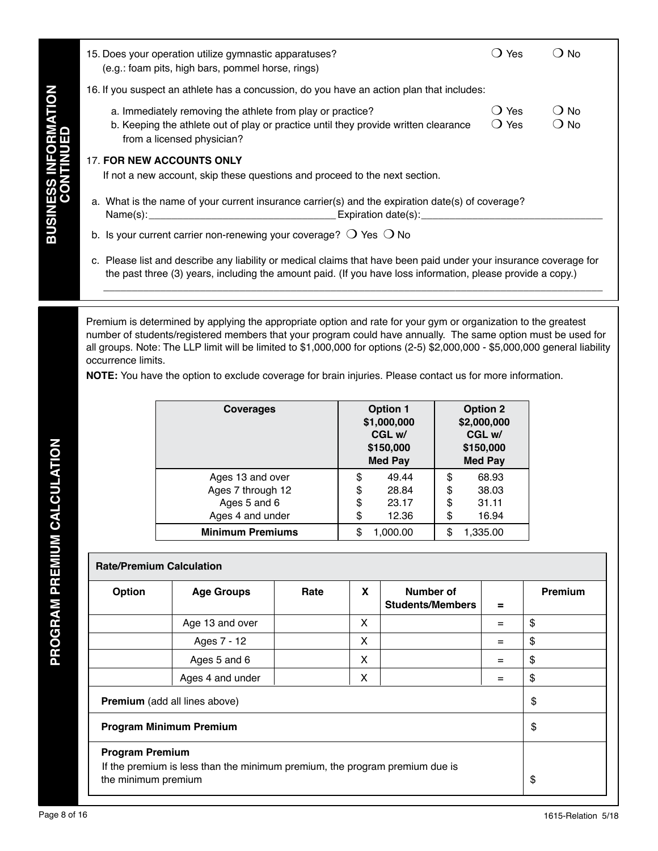| 15. Does your operation utilize gymnastic apparatuses?<br>(e.g.: foam pits, high bars, pommel horse, rings)                                                                                                                      | Yes           | ()No            |
|----------------------------------------------------------------------------------------------------------------------------------------------------------------------------------------------------------------------------------|---------------|-----------------|
| 16. If you suspect an athlete has a concussion, do you have an action plan that includes:                                                                                                                                        |               |                 |
| a. Immediately removing the athlete from play or practice?<br>b. Keeping the athlete out of play or practice until they provide written clearance<br>from a licensed physician?                                                  | Yes<br>() Yes | ( ) No<br>() No |
| <b>17. FOR NEW ACCOUNTS ONLY</b><br>If not a new account, skip these questions and proceed to the next section.                                                                                                                  |               |                 |
| a. What is the name of your current insurance carrier(s) and the expiration date(s) of coverage?<br>Expiration date(s): Expiration date of the set of the set of the set of the set of the set of the set of the s               |               |                 |
| b. Is your current carrier non-renewing your coverage? $\bigcirc$ Yes $\bigcirc$ No                                                                                                                                              |               |                 |
| c. Please list and describe any liability or medical claims that have been paid under your insurance coverage for<br>the past three (3) years, including the amount paid. (If you have loss information, please provide a copy.) |               |                 |

Premium is determined by applying the appropriate option and rate for your gym or organization to the greatest number of students/registered members that your program could have annually. The same option must be used for all groups. Note: The LLP limit will be limited to \$1,000,000 for options (2-5) \$2,000,000 - \$5,000,000 general liability occurrence limits.

\_\_\_\_\_\_\_\_\_\_\_\_\_\_\_\_\_\_\_\_\_\_\_\_\_\_\_\_\_\_\_\_\_\_\_\_\_\_\_\_\_\_\_\_\_\_\_\_\_\_\_\_\_\_\_\_\_\_\_\_\_\_\_\_\_\_\_\_\_\_\_\_\_\_\_\_\_\_\_\_\_\_\_\_\_\_\_\_

**NOTE:** You have the option to exclude coverage for brain injuries. Please contact us for more information.

| Coverages               | <b>Option 1</b><br>\$1,000,000<br>CGL w/<br>\$150,000<br><b>Med Pay</b> |          | <b>Option 2</b><br>\$2,000,000<br>CGL w/<br>\$150,000<br><b>Med Pay</b> |
|-------------------------|-------------------------------------------------------------------------|----------|-------------------------------------------------------------------------|
| Ages 13 and over        | \$                                                                      | 49.44    | \$<br>68.93                                                             |
| Ages 7 through 12       | \$                                                                      | 28.84    | \$<br>38.03                                                             |
| Ages 5 and 6            | \$                                                                      | 23.17    | \$<br>31.11                                                             |
| Ages 4 and under        | \$                                                                      | 12.36    | \$<br>16.94                                                             |
| <b>Minimum Premiums</b> | \$                                                                      | 1,000.00 | \$<br>1,335.00                                                          |

# Page 8 of 16<br>
Page 18 and over 16 161 Pay Med Pay<br>
Ages 18 and over 16 161 Pay Med Pay<br>
Ages 5 and 6<br>
Ages 5 and 6<br>
Ages 4 and under 5 1.000.00 \$ 1.335.00<br>
Rate/Premium Calculation<br>
Option Age Groups Rate X Number of 51.3  $\overline{a}$ **Rate/Premium Calculation Option Age Groups Rate X Number of Premium Students/Members =** Age 13 and over X = \$ Ages 7 - 12  $\vert x \vert$   $\vert x \vert$  =  $\vert \mathcal{S}$  Ages 5 and 6 X = \$ Ages 4 and under  $\begin{vmatrix} x \end{vmatrix}$  x  $\begin{vmatrix} x \end{vmatrix}$  =  $\begin{vmatrix} 5 \end{vmatrix}$ **Premium** (add all lines above) **\$ Program Minimum Premium** \$ **Program Premium** If the premium is less than the minimum premium, the program premium due is the minimum premium \$

**CONTINUED**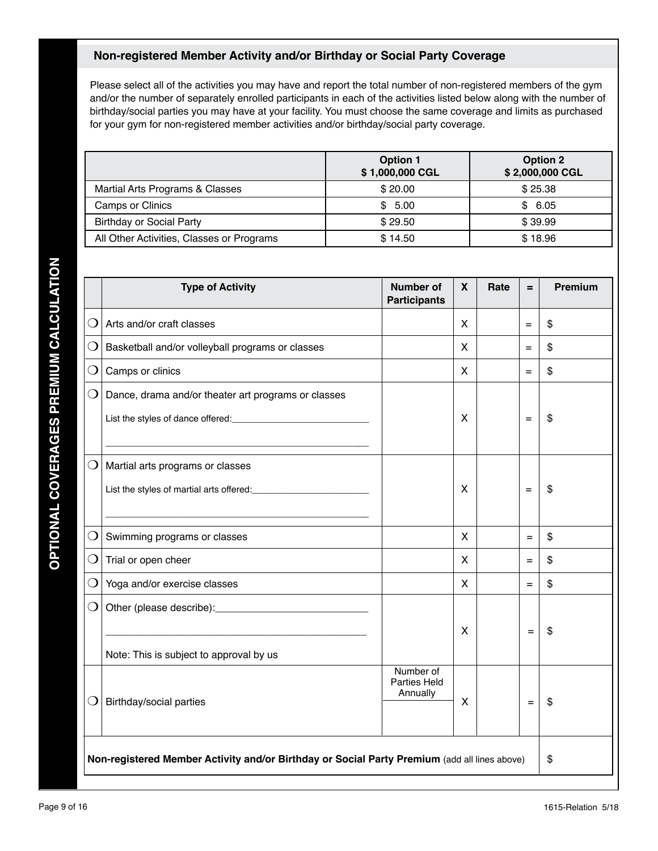### **Non-registered Member Activity and/or Birthday or Social Party Coverage**

Please select all of the activities you may have and report the total number of non-registered members of the gym and/or the number of separately enrolled participants in each of the activities listed below along with the number of birthday/social parties you may have at your facility. You must choose the same coverage and limits as purchased for your gym for non-registered member activities and/or birthday/social party coverage.

|                                           | <b>Option 1</b><br>\$1,000,000 CGL | <b>Option 2</b><br>\$2,000,000 CGL |
|-------------------------------------------|------------------------------------|------------------------------------|
| Martial Arts Programs & Classes           | \$20.00                            | \$25.38                            |
| <b>Camps or Clinics</b>                   | \$5.00                             | \$6.05                             |
| <b>Birthday or Social Party</b>           | \$29.50                            | \$39.99                            |
| All Other Activities, Classes or Programs | \$14.50                            | \$18.96                            |

|                  | <b>Type of Activity</b>                                                                      | <b>Number of</b><br><b>Participants</b>      | $\mathbf{x}$ | Rate | $=$      | Premium |
|------------------|----------------------------------------------------------------------------------------------|----------------------------------------------|--------------|------|----------|---------|
| $\left( \right)$ | Arts and/or craft classes                                                                    |                                              | X            |      | $=$      | \$      |
| $\Omega$         | Basketball and/or volleyball programs or classes                                             |                                              | X            |      | $=$      | \$      |
| $\bigcirc$       | Camps or clinics                                                                             |                                              | X            |      | $=$      | \$      |
|                  | $\bigcirc$   Dance, drama and/or theater art programs or classes                             |                                              | X            |      | $\equiv$ | \$      |
| $\cup$           | Martial arts programs or classes                                                             |                                              | X            |      | $=$      | \$      |
| $\bigcirc$       | Swimming programs or classes                                                                 |                                              | X            |      | $=$      | \$      |
| $\bigcirc$       | Trial or open cheer                                                                          |                                              | X            |      | $=$      | \$      |
| $\bigcirc$       | Yoga and/or exercise classes                                                                 |                                              | X            |      | $=$      | \$      |
| $\bigcirc$       | Note: This is subject to approval by us                                                      |                                              | X            |      | $=$      | \$      |
|                  | $\bigcirc$   Birthday/social parties                                                         | Number of<br><b>Parties Held</b><br>Annually | X            |      | $\equiv$ | \$      |
|                  | Non-registered Member Activity and/or Birthday or Social Party Premium (add all lines above) |                                              |              |      |          | \$      |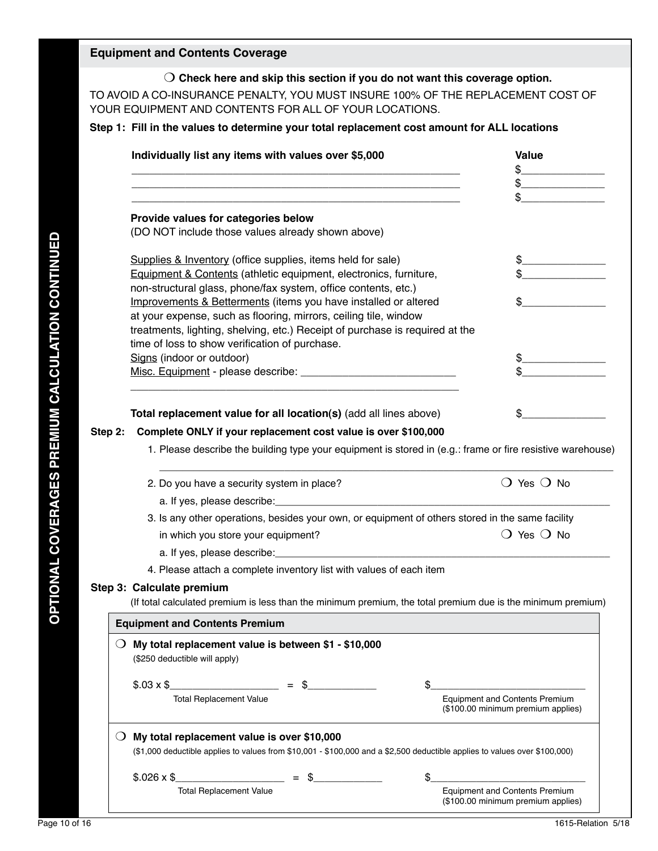### **Equipment and Contents Coverage**

# m **Check here and skip this section if you do not want this coverage option.**

TO AVOID A CO-INSURANCE PENALTY, YOU MUST INSURE 100% OF THE REPLACEMENT COST OF YOUR EQUIPMENT AND CONTENTS FOR ALL OF YOUR LOCATIONS.

### **Step 1: Fill in the values to determine your total replacement cost amount for ALL locations**

|                                                         | Individually list any items with values over \$5,000                                                                                                                                | Value                                                                                                                                                                                                                                                                                                                                         |  |  |  |  |  |
|---------------------------------------------------------|-------------------------------------------------------------------------------------------------------------------------------------------------------------------------------------|-----------------------------------------------------------------------------------------------------------------------------------------------------------------------------------------------------------------------------------------------------------------------------------------------------------------------------------------------|--|--|--|--|--|
|                                                         | <u> 1999 - Johann John Harry, mars and deutscher Stadt and deutscher Stadt and deutscher Stadt and deutscher Stadt</u>                                                              | $\begin{picture}(20,20) \put(0,0){\line(1,0){100}} \put(15,0){\line(1,0){100}} \put(15,0){\line(1,0){100}} \put(15,0){\line(1,0){100}} \put(15,0){\line(1,0){100}} \put(15,0){\line(1,0){100}} \put(15,0){\line(1,0){100}} \put(15,0){\line(1,0){100}} \put(15,0){\line(1,0){100}} \put(15,0){\line(1,0){100}} \put(15,0){\line(1,0){100}} \$ |  |  |  |  |  |
|                                                         | Provide values for categories below                                                                                                                                                 |                                                                                                                                                                                                                                                                                                                                               |  |  |  |  |  |
|                                                         | (DO NOT include those values already shown above)                                                                                                                                   |                                                                                                                                                                                                                                                                                                                                               |  |  |  |  |  |
| <b>OPTIONAL COVERAGES PREMIUM CALCULATION CONTINUED</b> | Supplies & Inventory (office supplies, items held for sale)                                                                                                                         |                                                                                                                                                                                                                                                                                                                                               |  |  |  |  |  |
|                                                         | Equipment & Contents (athletic equipment, electronics, furniture,<br>non-structural glass, phone/fax system, office contents, etc.)                                                 |                                                                                                                                                                                                                                                                                                                                               |  |  |  |  |  |
|                                                         | Improvements & Betterments (items you have installed or altered                                                                                                                     | $\begin{array}{c c} \updownarrow \end{array}$                                                                                                                                                                                                                                                                                                 |  |  |  |  |  |
|                                                         | at your expense, such as flooring, mirrors, ceiling tile, window                                                                                                                    |                                                                                                                                                                                                                                                                                                                                               |  |  |  |  |  |
|                                                         | treatments, lighting, shelving, etc.) Receipt of purchase is required at the                                                                                                        |                                                                                                                                                                                                                                                                                                                                               |  |  |  |  |  |
|                                                         | time of loss to show verification of purchase.<br>Signs (indoor or outdoor)                                                                                                         |                                                                                                                                                                                                                                                                                                                                               |  |  |  |  |  |
|                                                         | Misc. Equipment - please describe: _________________________________                                                                                                                |                                                                                                                                                                                                                                                                                                                                               |  |  |  |  |  |
|                                                         |                                                                                                                                                                                     |                                                                                                                                                                                                                                                                                                                                               |  |  |  |  |  |
|                                                         | Total replacement value for all location(s) (add all lines above)                                                                                                                   | \$                                                                                                                                                                                                                                                                                                                                            |  |  |  |  |  |
|                                                         | Complete ONLY if your replacement cost value is over \$100,000<br>Step 2:                                                                                                           |                                                                                                                                                                                                                                                                                                                                               |  |  |  |  |  |
|                                                         | 1. Please describe the building type your equipment is stored in (e.g.: frame or fire resistive warehouse)                                                                          |                                                                                                                                                                                                                                                                                                                                               |  |  |  |  |  |
|                                                         |                                                                                                                                                                                     |                                                                                                                                                                                                                                                                                                                                               |  |  |  |  |  |
|                                                         | 2. Do you have a security system in place?                                                                                                                                          | $\bigcirc$ Yes $\bigcirc$ No                                                                                                                                                                                                                                                                                                                  |  |  |  |  |  |
|                                                         |                                                                                                                                                                                     |                                                                                                                                                                                                                                                                                                                                               |  |  |  |  |  |
|                                                         | 3. Is any other operations, besides your own, or equipment of others stored in the same facility                                                                                    |                                                                                                                                                                                                                                                                                                                                               |  |  |  |  |  |
|                                                         | in which you store your equipment?                                                                                                                                                  | $\bigcirc$ Yes $\bigcirc$ No                                                                                                                                                                                                                                                                                                                  |  |  |  |  |  |
|                                                         |                                                                                                                                                                                     |                                                                                                                                                                                                                                                                                                                                               |  |  |  |  |  |
|                                                         | 4. Please attach a complete inventory list with values of each item                                                                                                                 |                                                                                                                                                                                                                                                                                                                                               |  |  |  |  |  |
|                                                         | Step 3: Calculate premium                                                                                                                                                           |                                                                                                                                                                                                                                                                                                                                               |  |  |  |  |  |
|                                                         | (If total calculated premium is less than the minimum premium, the total premium due is the minimum premium)                                                                        |                                                                                                                                                                                                                                                                                                                                               |  |  |  |  |  |
|                                                         | <b>Equipment and Contents Premium</b>                                                                                                                                               |                                                                                                                                                                                                                                                                                                                                               |  |  |  |  |  |
|                                                         | My total replacement value is between \$1 - \$10,000<br>$\cup$<br>(\$250 deductible will apply)                                                                                     |                                                                                                                                                                                                                                                                                                                                               |  |  |  |  |  |
|                                                         | $$.03 \times$ \$<br>\$                                                                                                                                                              |                                                                                                                                                                                                                                                                                                                                               |  |  |  |  |  |
|                                                         | <b>Total Replacement Value</b>                                                                                                                                                      | <b>Equipment and Contents Premium</b><br>(\$100.00 minimum premium applies)                                                                                                                                                                                                                                                                   |  |  |  |  |  |
|                                                         | My total replacement value is over \$10,000<br>$\cup$<br>(\$1,000 deductible applies to values from \$10,001 - \$100,000 and a \$2,500 deductible applies to values over \$100,000) |                                                                                                                                                                                                                                                                                                                                               |  |  |  |  |  |
|                                                         | $$.026 \times$ \$<br>\$<br>$=$                                                                                                                                                      |                                                                                                                                                                                                                                                                                                                                               |  |  |  |  |  |
|                                                         | <b>Total Replacement Value</b>                                                                                                                                                      | <b>Equipment and Contents Premium</b><br>(\$100.00 minimum premium applies)                                                                                                                                                                                                                                                                   |  |  |  |  |  |
| Page 10 of 16                                           |                                                                                                                                                                                     | 1615-Relation 5/18                                                                                                                                                                                                                                                                                                                            |  |  |  |  |  |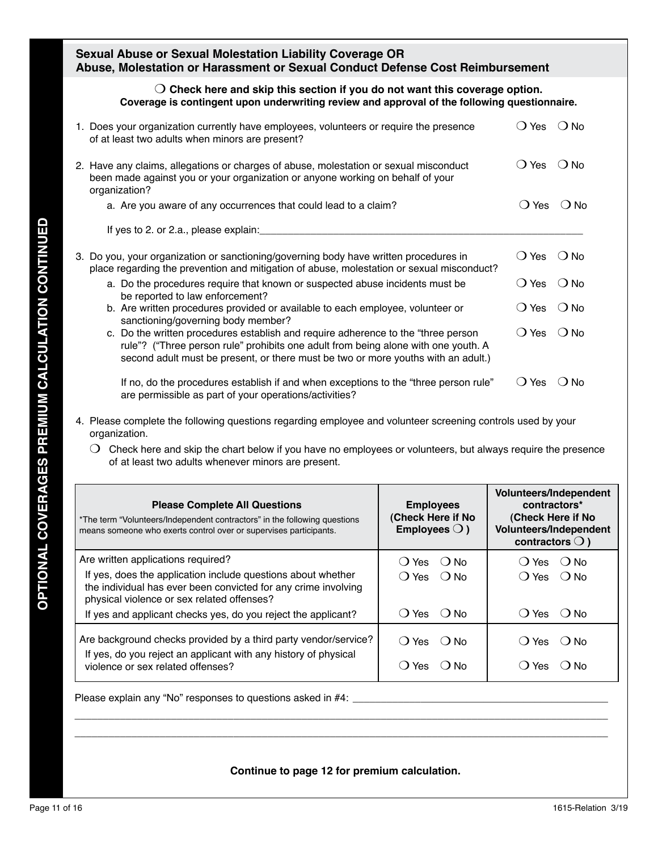### **Sexual Abuse or Sexual Molestation Liability Coverage OR Abuse, Molestation or Harassment or Sexual Conduct Defense Cost Reimbursement**

### m **Check here and skip this section if you do not want this coverage option. Coverage is contingent upon underwriting review and approval of the following questionnaire.**

| 1. Does your organization currently have employees, volunteers or require the presence<br>of at least two adults when minors are present?                                                                                                                    | ) Yes                        | ∶ ) N∩ |
|--------------------------------------------------------------------------------------------------------------------------------------------------------------------------------------------------------------------------------------------------------------|------------------------------|--------|
| 2. Have any claims, allegations or charges of abuse, molestation or sexual misconduct<br>been made against you or your organization or anyone working on behalf of your<br>organization?                                                                     | ( ) Yes                      | ( ) N∩ |
| a. Are you aware of any occurrences that could lead to a claim?                                                                                                                                                                                              | Yes                          | ( ) N∩ |
| If yes to 2. or 2.a., please explain:                                                                                                                                                                                                                        |                              |        |
| 3. Do you, your organization or sanctioning/governing body have written procedures in<br>place regarding the prevention and mitigation of abuse, molestation or sexual misconduct?                                                                           | $\bigcirc$ Yes $\bigcirc$ No |        |
| a. Do the procedures require that known or suspected abuse incidents must be<br>be reported to law enforcement?                                                                                                                                              | $\bigcirc$ Yes $\bigcirc$ No |        |
| b. Are written procedures provided or available to each employee, volunteer or<br>sanctioning/governing body member?                                                                                                                                         | ( ) Yes                      | ( ) No |
| c. Do the written procedures establish and require adherence to the "three person<br>rule"? ("Three person rule" prohibits one adult from being alone with one youth. A<br>second adult must be present, or there must be two or more youths with an adult.) | ( Yes                        | ( ) N∩ |
| If no, do the procedures establish if and when exceptions to the "three person rule"<br>are permissible as part of your operations/activities?                                                                                                               | Yes                          | N∩     |

- 4. Please complete the following questions regarding employee and volunteer screening controls used by your organization.
	- $\bigcirc$  Check here and skip the chart below if you have no employees or volunteers, but always require the presence of at least two adults whenever minors are present.

| 3. Do you, your organization or sanctioning/governing body have written procedures in<br>place regarding the prevention and mitigation of abuse, molestation or sexual misconduct?<br>a. Do the procedures require that known or suspected abuse incidents must be | $\bigcirc$ Yes<br>$\bigcirc$ Yes                                   | ○ No<br>$\bigcirc$ No                                                                                             |               |
|--------------------------------------------------------------------------------------------------------------------------------------------------------------------------------------------------------------------------------------------------------------------|--------------------------------------------------------------------|-------------------------------------------------------------------------------------------------------------------|---------------|
| be reported to law enforcement?<br>b. Are written procedures provided or available to each employee, volunteer or<br>sanctioning/governing body member?                                                                                                            |                                                                    | $\bigcirc$ Yes                                                                                                    | $\bigcirc$ No |
| c. Do the written procedures establish and require adherence to the "three person"<br>rule"? ("Three person rule" prohibits one adult from being alone with one youth. A<br>second adult must be present, or there must be two or more youths with an adult.)      |                                                                    | $\bigcirc$ Yes                                                                                                    | ○ No          |
| If no, do the procedures establish if and when exceptions to the "three person rule"<br>are permissible as part of your operations/activities?                                                                                                                     |                                                                    | $\bigcirc$ Yes                                                                                                    | ○ No          |
| 4. Please complete the following questions regarding employee and volunteer screening controls used by your<br>organization.                                                                                                                                       |                                                                    |                                                                                                                   |               |
| $\bigcirc$ Check here and skip the chart below if you have no employees or volunteers, but always require the presence<br>of at least two adults whenever minors are present.                                                                                      |                                                                    |                                                                                                                   |               |
| <b>Please Complete All Questions</b><br>*The term "Volunteers/Independent contractors" in the following questions<br>means someone who exerts control over or supervises participants.                                                                             | <b>Employees</b><br>(Check Here if No<br>Employees $\bigcirc$ )    | Volunteers/Independent<br>contractors*<br>(Check Here if No<br>Volunteers/Independent<br>contractors $\bigcirc$ ) |               |
|                                                                                                                                                                                                                                                                    |                                                                    |                                                                                                                   | $\bigcirc$ No |
|                                                                                                                                                                                                                                                                    |                                                                    |                                                                                                                   |               |
| Are written applications required?<br>If yes, does the application include questions about whether<br>the individual has ever been convicted for any crime involving                                                                                               | $\bigcirc$ No<br>$\bigcirc$ Yes<br>$\bigcirc$ Yes<br>$\bigcirc$ No | $\bigcirc$ Yes<br>$\bigcirc$ Yes $\bigcirc$ No                                                                    |               |
| physical violence or sex related offenses?<br>If yes and applicant checks yes, do you reject the applicant?                                                                                                                                                        | $\bigcirc$ Yes<br>$\bigcirc$ No                                    | $\bigcirc$ Yes                                                                                                    | $\bigcirc$ No |
| Are background checks provided by a third party vendor/service?                                                                                                                                                                                                    | $\bigcirc$ Yes<br>$\bigcirc$ No                                    | $\bigcirc$ Yes                                                                                                    | $\bigcirc$ No |
| If yes, do you reject an applicant with any history of physical<br>violence or sex related offenses?                                                                                                                                                               | $\bigcirc$ Yes<br>$\bigcirc$ No                                    | $\bigcirc$ Yes $\bigcirc$ No                                                                                      |               |
| Please explain any "No" responses to questions asked in #4:                                                                                                                                                                                                        |                                                                    |                                                                                                                   |               |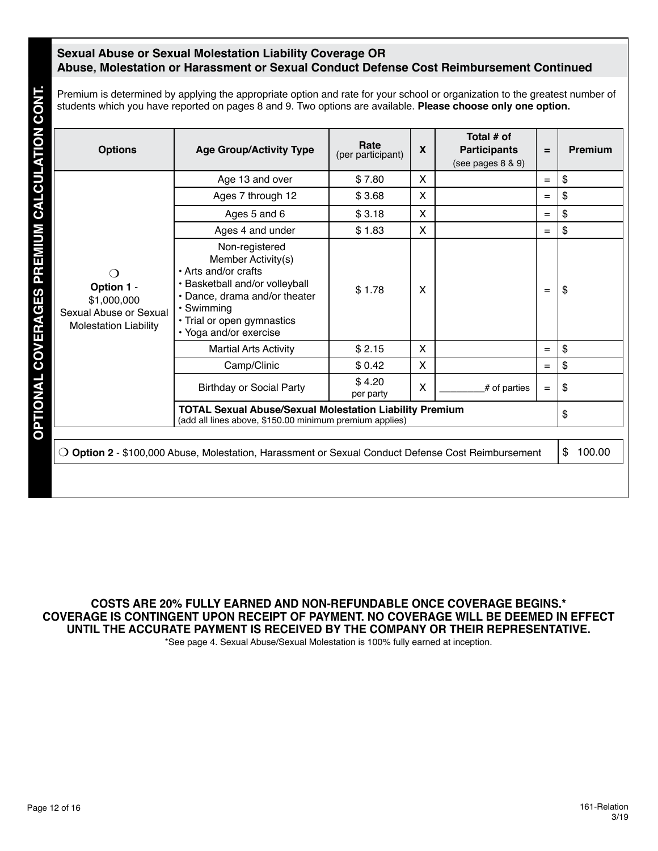### **Sexual Abuse or Sexual Molestation Liability Coverage OR Abuse, Molestation or Harassment or Sexual Conduct Defense Cost Reimbursement Continued**

Premium is determined by applying the appropriate option and rate for your school or organization to the greatest number of students which you have reported on pages 8 and 9. Two options are available. **Please choose only one option.**

| <b>Options</b>                                                                      | <b>Age Group/Activity Type</b>                                                                                                                                                                        | Rate<br>(per participant) | X | Total # of<br><b>Participants</b><br>(see pages $8 \& 9$ ) | $=$               | <b>Premium</b> |  |
|-------------------------------------------------------------------------------------|-------------------------------------------------------------------------------------------------------------------------------------------------------------------------------------------------------|---------------------------|---|------------------------------------------------------------|-------------------|----------------|--|
|                                                                                     | Age 13 and over                                                                                                                                                                                       | \$7.80                    | X |                                                            | $=$               | \$             |  |
|                                                                                     | Ages 7 through 12                                                                                                                                                                                     | \$3.68                    | X |                                                            | $=$               | \$             |  |
|                                                                                     | Ages 5 and 6                                                                                                                                                                                          | \$3.18                    | X |                                                            | $\qquad \qquad =$ | \$             |  |
|                                                                                     | Ages 4 and under                                                                                                                                                                                      | \$1.83                    | X |                                                            | $\qquad \qquad =$ | \$             |  |
| Option 1 -<br>\$1,000,000<br>Sexual Abuse or Sexual<br><b>Molestation Liability</b> | Non-registered<br>Member Activity(s)<br>. Arts and/or crafts<br>• Basketball and/or volleyball<br>• Dance, drama and/or theater<br>• Swimming<br>• Trial or open gymnastics<br>· Yoga and/or exercise | \$1.78                    | X |                                                            | $=$               | \$             |  |
|                                                                                     | <b>Martial Arts Activity</b>                                                                                                                                                                          | \$2.15                    | X |                                                            | $=$               | \$             |  |
|                                                                                     | Camp/Clinic                                                                                                                                                                                           | \$0.42                    | X |                                                            | $\qquad \qquad =$ | \$             |  |
|                                                                                     | <b>Birthday or Social Party</b>                                                                                                                                                                       | \$4.20<br>per party       | X | # of parties                                               | $\qquad \qquad =$ | \$             |  |
|                                                                                     | <b>TOTAL Sexual Abuse/Sexual Molestation Liability Premium</b><br>(add all lines above, \$150.00 minimum premium applies)                                                                             |                           |   |                                                            |                   |                |  |
|                                                                                     | 100.00<br>\$<br>O Option 2 - \$100,000 Abuse, Molestation, Harassment or Sexual Conduct Defense Cost Reimbursement                                                                                    |                           |   |                                                            |                   |                |  |
|                                                                                     |                                                                                                                                                                                                       |                           |   |                                                            |                   |                |  |

**COSTS ARE 20% FULLY EARNED AND NON-REFUNDABLE ONCE COVERAGE BEGINS.\* COVERAGE IS CONTINGENT UPON RECEIPT OF PAYMENT. NO COVERAGE WILL BE DEEMED IN EFFECT UNTIL THE ACCURATE PAYMENT IS RECEIVED BY THE COMPANY OR THEIR REPRESENTATIVE.** \*See page 4. Sexual Abuse/Sexual Molestation is 100% fully earned at inception.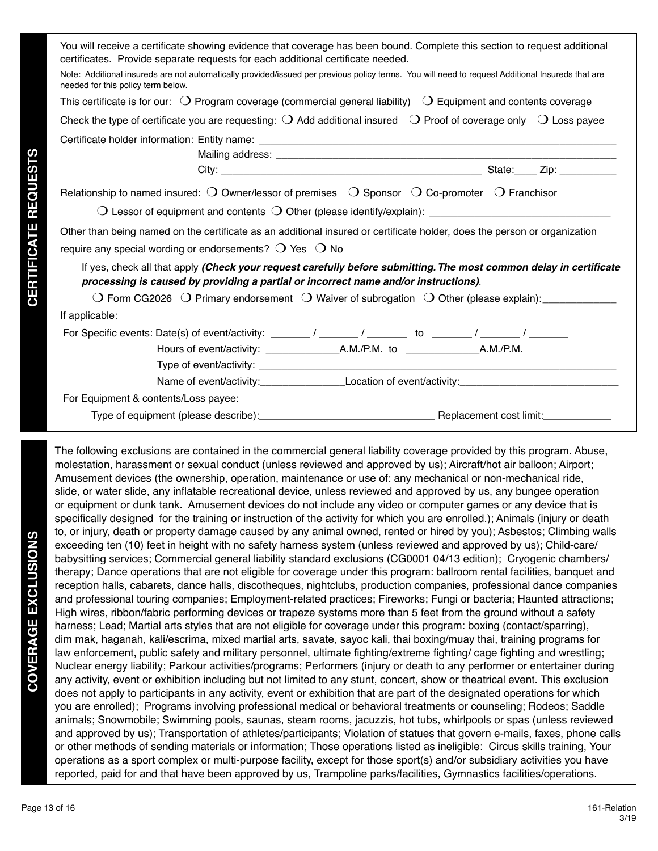|                |                                      |                                                                                                                           | You will receive a certificate showing evidence that coverage has been bound. Complete this section to request additional<br>certificates. Provide separate requests for each additional certificate needed.<br>Note: Additional insureds are not automatically provided/issued per previous policy terms. You will need to request Additional Insureds that are |  |  |
|----------------|--------------------------------------|---------------------------------------------------------------------------------------------------------------------------|------------------------------------------------------------------------------------------------------------------------------------------------------------------------------------------------------------------------------------------------------------------------------------------------------------------------------------------------------------------|--|--|
|                | needed for this policy term below.   |                                                                                                                           |                                                                                                                                                                                                                                                                                                                                                                  |  |  |
|                |                                      |                                                                                                                           | This certificate is for our: $\bigcirc$ Program coverage (commercial general liability) $\bigcirc$ Equipment and contents coverage                                                                                                                                                                                                                               |  |  |
|                |                                      |                                                                                                                           | Check the type of certificate you are requesting: $\bigcirc$ Add additional insured $\bigcirc$ Proof of coverage only $\bigcirc$ Loss payee                                                                                                                                                                                                                      |  |  |
|                |                                      |                                                                                                                           |                                                                                                                                                                                                                                                                                                                                                                  |  |  |
|                |                                      |                                                                                                                           |                                                                                                                                                                                                                                                                                                                                                                  |  |  |
|                |                                      |                                                                                                                           |                                                                                                                                                                                                                                                                                                                                                                  |  |  |
|                |                                      |                                                                                                                           | Relationship to named insured: $\bigcirc$ Owner/lessor of premises $\bigcirc$ Sponsor $\bigcirc$ Co-promoter $\bigcirc$ Franchisor                                                                                                                                                                                                                               |  |  |
|                |                                      |                                                                                                                           |                                                                                                                                                                                                                                                                                                                                                                  |  |  |
|                |                                      |                                                                                                                           | Other than being named on the certificate as an additional insured or certificate holder, does the person or organization                                                                                                                                                                                                                                        |  |  |
|                |                                      | require any special wording or endorsements? $\bigcirc$ Yes $\bigcirc$ No                                                 |                                                                                                                                                                                                                                                                                                                                                                  |  |  |
|                |                                      |                                                                                                                           | If yes, check all that apply (Check your request carefully before submitting. The most common delay in certificate<br>processing is caused by providing a partial or incorrect name and/or instructions).                                                                                                                                                        |  |  |
|                |                                      |                                                                                                                           |                                                                                                                                                                                                                                                                                                                                                                  |  |  |
|                |                                      |                                                                                                                           |                                                                                                                                                                                                                                                                                                                                                                  |  |  |
|                |                                      | $\bigcirc$ Form CG2026 $\bigcirc$ Primary endorsement $\bigcirc$ Waiver of subrogation $\bigcirc$ Other (please explain): |                                                                                                                                                                                                                                                                                                                                                                  |  |  |
| If applicable: |                                      |                                                                                                                           |                                                                                                                                                                                                                                                                                                                                                                  |  |  |
|                |                                      |                                                                                                                           | For Specific events: Date(s) of event/activity: ______/ ______/ _______ to ______/ ______/ ________                                                                                                                                                                                                                                                              |  |  |
|                |                                      |                                                                                                                           |                                                                                                                                                                                                                                                                                                                                                                  |  |  |
|                |                                      |                                                                                                                           |                                                                                                                                                                                                                                                                                                                                                                  |  |  |
|                |                                      |                                                                                                                           | Name of event/activity:______________________Location of event/activity:____________________________                                                                                                                                                                                                                                                             |  |  |
|                | For Equipment & contents/Loss payee: |                                                                                                                           |                                                                                                                                                                                                                                                                                                                                                                  |  |  |

molestation, harassment or sexual conduct (unless reviewed and approved by us); Aircraft/hot air balloon; Airport; Amusement devices (the ownership, operation, maintenance or use of: any mechanical or non-mechanical ride, slide, or water slide, any inflatable recreational device, unless reviewed and approved by us, any bungee operation or equipment or dunk tank. Amusement devices do not include any video or computer games or any device that is specifically designed for the training or instruction of the activity for which you are enrolled.); Animals (injury or death to, or injury, death or property damage caused by any animal owned, rented or hired by you); Asbestos; Climbing walls exceeding ten (10) feet in height with no safety harness system (unless reviewed and approved by us); Child-care/ babysitting services; Commercial general liability standard exclusions (CG0001 04/13 edition); Cryogenic chambers/ therapy; Dance operations that are not eligible for coverage under this program: ballroom rental facilities, banquet and reception halls, cabarets, dance halls, discotheques, nightclubs, production companies, professional dance companies and professional touring companies; Employment-related practices; Fireworks; Fungi or bacteria; Haunted attractions; High wires, ribbon/fabric performing devices or trapeze systems more than 5 feet from the ground without a safety harness; Lead; Martial arts styles that are not eligible for coverage under this program: boxing (contact/sparring), dim mak, haganah, kali/escrima, mixed martial arts, savate, sayoc kali, thai boxing/muay thai, training programs for law enforcement, public safety and military personnel, ultimate fighting/extreme fighting/ cage fighting and wrestling; Nuclear energy liability; Parkour activities/programs; Performers (injury or death to any performer or entertainer during any activity, event or exhibition including but not limited to any stunt, concert, show or theatrical event. This exclusion does not apply to participants in any activity, event or exhibition that are part of the designated operations for which you are enrolled); Programs involving professional medical or behavioral treatments or counseling; Rodeos; Saddle animals; Snowmobile; Swimming pools, saunas, steam rooms, jacuzzis, hot tubs, whirlpools or spas (unless reviewed and approved by us); Transportation of athletes/participants; Violation of statues that govern e-mails, faxes, phone calls or other methods of sending materials or information; Those operations listed as ineligible: Circus skills training, Your operations as a sport complex or multi-purpose facility, except for those sport(s) and/or subsidiary activities you have reported, paid for and that have been approved by us, Trampoline parks/facilities, Gymnastics facilities/operations.

**COVERAGE EXCLUSIONS**

**COVERAGE EXCLUSIONS**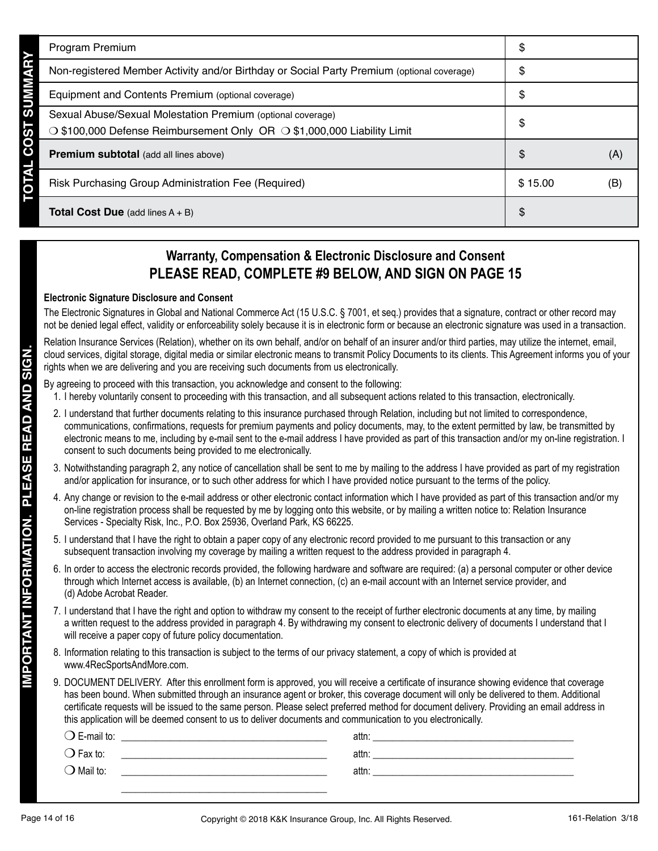|         | Program Premium                                                                                                                        | \$      |     |
|---------|----------------------------------------------------------------------------------------------------------------------------------------|---------|-----|
|         | Non-registered Member Activity and/or Birthday or Social Party Premium (optional coverage)                                             | \$      |     |
|         | Equipment and Contents Premium (optional coverage)                                                                                     | \$      |     |
|         | Sexual Abuse/Sexual Molestation Premium (optional coverage)<br>○ \$100,000 Defense Reimbursement Only OR ○ \$1,000,000 Liability Limit | \$      |     |
| O<br>Ο. | <b>Premium subtotal</b> (add all lines above)                                                                                          | \$      | (A) |
|         | Risk Purchasing Group Administration Fee (Required)                                                                                    | \$15.00 | (B) |
|         | <b>Total Cost Due</b> (add lines $A + B$ )                                                                                             | \$      |     |

# **Warranty, Compensation & Electronic Disclosure and Consent PLEASE READ, COMPLETE #9 BELOW, AND SIGN ON PAGE 15**

### **Electronic Signature Disclosure and Consent**

The Electronic Signatures in Global and National Commerce Act (15 U.S.C. § 7001, et seq.) provides that a signature, contract or other record may not be denied legal effect, validity or enforceability solely because it is in electronic form or because an electronic signature was used in a transaction.

Relation Insurance Services (Relation), whether on its own behalf, and/or on behalf of an insurer and/or third parties, may utilize the internet, email, cloud services, digital storage, digital media or similar electronic means to transmit Policy Documents to its clients. This Agreement informs you of your rights when we are delivering and you are receiving such documents from us electronically.

- 1. I hereby voluntarily consent to proceeding with this transaction, and all subsequent actions related to this transaction, electronically.
- 2. I understand that further documents relating to this insurance purchased through Relation, including but not limited to correspondence, communications, confirmations, requests for premium payments and policy documents, may, to the extent permitted by law, be transmitted by electronic means to me, including by e-mail sent to the e-mail address I have provided as part of this transaction and/or my on-line registration. I consent to such documents being provided to me electronically.
- 3. Notwithstanding paragraph 2, any notice of cancellation shall be sent to me by mailing to the address I have provided as part of my registration and/or application for insurance, or to such other address for which I have provided notice pursuant to the terms of the policy.
- 4. Any change or revision to the e-mail address or other electronic contact information which I have provided as part of this transaction and/or my on-line registration process shall be requested by me by logging onto this website, or by mailing a written notice to: Relation Insurance Services - Specialty Risk, Inc., P.O. Box 25936, Overland Park, KS 66225.
- 5. I understand that I have the right to obtain a paper copy of any electronic record provided to me pursuant to this transaction or any subsequent transaction involving my coverage by mailing a written request to the address provided in paragraph 4.
- 6. In order to access the electronic records provided, the following hardware and software are required: (a) a personal computer or other device through which Internet access is available, (b) an Internet connection, (c) an e-mail account with an Internet service provider, and (d) Adobe Acrobat Reader.
- 7. I understand that I have the right and option to withdraw my consent to the receipt of further electronic documents at any time, by mailing a written request to the address provided in paragraph 4. By withdrawing my consent to electronic delivery of documents I understand that I will receive a paper copy of future policy documentation.
- 8. Information relating to this transaction is subject to the terms of our privacy statement, a copy of which is provided at www.4RecSportsAndMore.com.
- 9. DOCUMENT DELIVERY. After this enrollment form is approved, you will receive a certificate of insurance showing evidence that coverage has been bound. When submitted through an insurance agent or broker, this coverage document will only be delivered to them. Additional certificate requests will be issued to the same person. Please select preferred method for document delivery. Providing an email address in this application will be deemed consent to us to deliver documents and communication to you electronically.

| By agreeing to proceed with this transaction, you acknowledge and consent to the following:<br>1. I hereby voluntarily consent to proceeding with this transaction, and all subsequent actions related to this transaction, electronically.<br>2. I understand that further documents relating to this insurance purchased through Relation, including but not limited to correspondence,<br>communications, confirmations, requests for premium payments and policy documents, may, to the extent permitted by law, be transmitted by<br>electronic means to me, including by e-mail sent to the e-mail address I have provided as part of this transaction and/or my on-line registration. I<br>consent to such documents being provided to me electronically.<br>3. Notwithstanding paragraph 2, any notice of cancellation shall be sent to me by mailing to the address I have provided as part of my registration<br>and/or application for insurance, or to such other address for which I have provided notice pursuant to the terms of the policy.<br>4. Any change or revision to the e-mail address or other electronic contact information which I have provided as part of this transaction and/or my<br>on-line registration process shall be requested by me by logging onto this website, or by mailing a written notice to: Relation Insurance<br>Services - Specialty Risk, Inc., P.O. Box 25936, Overland Park, KS 66225.<br>5. I understand that I have the right to obtain a paper copy of any electronic record provided to me pursuant to this transaction or any<br>subsequent transaction involving my coverage by mailing a written request to the address provided in paragraph 4. |                                                                                                                                                                                                                                                                                                                       |                            |                                                           |  |  |                                                                                                                                                                                                                                             |                                                                                                                                                                                                                                                                                                                                                                                                                                                                                                                                                                                                                                                                                                                                                             |
|---------------------------------------------------------------------------------------------------------------------------------------------------------------------------------------------------------------------------------------------------------------------------------------------------------------------------------------------------------------------------------------------------------------------------------------------------------------------------------------------------------------------------------------------------------------------------------------------------------------------------------------------------------------------------------------------------------------------------------------------------------------------------------------------------------------------------------------------------------------------------------------------------------------------------------------------------------------------------------------------------------------------------------------------------------------------------------------------------------------------------------------------------------------------------------------------------------------------------------------------------------------------------------------------------------------------------------------------------------------------------------------------------------------------------------------------------------------------------------------------------------------------------------------------------------------------------------------------------------------------------------------------------------------------------------------------------------------|-----------------------------------------------------------------------------------------------------------------------------------------------------------------------------------------------------------------------------------------------------------------------------------------------------------------------|----------------------------|-----------------------------------------------------------|--|--|---------------------------------------------------------------------------------------------------------------------------------------------------------------------------------------------------------------------------------------------|-------------------------------------------------------------------------------------------------------------------------------------------------------------------------------------------------------------------------------------------------------------------------------------------------------------------------------------------------------------------------------------------------------------------------------------------------------------------------------------------------------------------------------------------------------------------------------------------------------------------------------------------------------------------------------------------------------------------------------------------------------------|
|                                                                                                                                                                                                                                                                                                                                                                                                                                                                                                                                                                                                                                                                                                                                                                                                                                                                                                                                                                                                                                                                                                                                                                                                                                                                                                                                                                                                                                                                                                                                                                                                                                                                                                               |                                                                                                                                                                                                                                                                                                                       |                            |                                                           |  |  |                                                                                                                                                                                                                                             |                                                                                                                                                                                                                                                                                                                                                                                                                                                                                                                                                                                                                                                                                                                                                             |
|                                                                                                                                                                                                                                                                                                                                                                                                                                                                                                                                                                                                                                                                                                                                                                                                                                                                                                                                                                                                                                                                                                                                                                                                                                                                                                                                                                                                                                                                                                                                                                                                                                                                                                               |                                                                                                                                                                                                                                                                                                                       |                            |                                                           |  |  |                                                                                                                                                                                                                                             |                                                                                                                                                                                                                                                                                                                                                                                                                                                                                                                                                                                                                                                                                                                                                             |
|                                                                                                                                                                                                                                                                                                                                                                                                                                                                                                                                                                                                                                                                                                                                                                                                                                                                                                                                                                                                                                                                                                                                                                                                                                                                                                                                                                                                                                                                                                                                                                                                                                                                                                               |                                                                                                                                                                                                                                                                                                                       |                            |                                                           |  |  |                                                                                                                                                                                                                                             |                                                                                                                                                                                                                                                                                                                                                                                                                                                                                                                                                                                                                                                                                                                                                             |
|                                                                                                                                                                                                                                                                                                                                                                                                                                                                                                                                                                                                                                                                                                                                                                                                                                                                                                                                                                                                                                                                                                                                                                                                                                                                                                                                                                                                                                                                                                                                                                                                                                                                                                               |                                                                                                                                                                                                                                                                                                                       |                            |                                                           |  |  |                                                                                                                                                                                                                                             |                                                                                                                                                                                                                                                                                                                                                                                                                                                                                                                                                                                                                                                                                                                                                             |
|                                                                                                                                                                                                                                                                                                                                                                                                                                                                                                                                                                                                                                                                                                                                                                                                                                                                                                                                                                                                                                                                                                                                                                                                                                                                                                                                                                                                                                                                                                                                                                                                                                                                                                               |                                                                                                                                                                                                                                                                                                                       |                            |                                                           |  |  |                                                                                                                                                                                                                                             |                                                                                                                                                                                                                                                                                                                                                                                                                                                                                                                                                                                                                                                                                                                                                             |
|                                                                                                                                                                                                                                                                                                                                                                                                                                                                                                                                                                                                                                                                                                                                                                                                                                                                                                                                                                                                                                                                                                                                                                                                                                                                                                                                                                                                                                                                                                                                                                                                                                                                                                               | 6. In order to access the electronic records provided, the following hardware and software are required: (a) a personal computer or other device<br>through which Internet access is available, (b) an Internet connection, (c) an e-mail account with an Internet service provider, and<br>(d) Adobe Acrobat Reader. |                            |                                                           |  |  |                                                                                                                                                                                                                                             |                                                                                                                                                                                                                                                                                                                                                                                                                                                                                                                                                                                                                                                                                                                                                             |
| 7. I understand that I have the right and option to withdraw my consent to the receipt of further electronic documents at any time, by mailing<br>a written request to the address provided in paragraph 4. By withdrawing my consent to electronic delivery of documents I understand that I                                                                                                                                                                                                                                                                                                                                                                                                                                                                                                                                                                                                                                                                                                                                                                                                                                                                                                                                                                                                                                                                                                                                                                                                                                                                                                                                                                                                                 |                                                                                                                                                                                                                                                                                                                       |                            |                                                           |  |  |                                                                                                                                                                                                                                             |                                                                                                                                                                                                                                                                                                                                                                                                                                                                                                                                                                                                                                                                                                                                                             |
|                                                                                                                                                                                                                                                                                                                                                                                                                                                                                                                                                                                                                                                                                                                                                                                                                                                                                                                                                                                                                                                                                                                                                                                                                                                                                                                                                                                                                                                                                                                                                                                                                                                                                                               |                                                                                                                                                                                                                                                                                                                       |                            |                                                           |  |  |                                                                                                                                                                                                                                             |                                                                                                                                                                                                                                                                                                                                                                                                                                                                                                                                                                                                                                                                                                                                                             |
|                                                                                                                                                                                                                                                                                                                                                                                                                                                                                                                                                                                                                                                                                                                                                                                                                                                                                                                                                                                                                                                                                                                                                                                                                                                                                                                                                                                                                                                                                                                                                                                                                                                                                                               |                                                                                                                                                                                                                                                                                                                       |                            |                                                           |  |  |                                                                                                                                                                                                                                             |                                                                                                                                                                                                                                                                                                                                                                                                                                                                                                                                                                                                                                                                                                                                                             |
|                                                                                                                                                                                                                                                                                                                                                                                                                                                                                                                                                                                                                                                                                                                                                                                                                                                                                                                                                                                                                                                                                                                                                                                                                                                                                                                                                                                                                                                                                                                                                                                                                                                                                                               |                                                                                                                                                                                                                                                                                                                       |                            |                                                           |  |  |                                                                                                                                                                                                                                             |                                                                                                                                                                                                                                                                                                                                                                                                                                                                                                                                                                                                                                                                                                                                                             |
| $\bigcirc$ Fax to:                                                                                                                                                                                                                                                                                                                                                                                                                                                                                                                                                                                                                                                                                                                                                                                                                                                                                                                                                                                                                                                                                                                                                                                                                                                                                                                                                                                                                                                                                                                                                                                                                                                                                            |                                                                                                                                                                                                                                                                                                                       |                            |                                                           |  |  |                                                                                                                                                                                                                                             |                                                                                                                                                                                                                                                                                                                                                                                                                                                                                                                                                                                                                                                                                                                                                             |
| $\bigcirc$ Mail to:                                                                                                                                                                                                                                                                                                                                                                                                                                                                                                                                                                                                                                                                                                                                                                                                                                                                                                                                                                                                                                                                                                                                                                                                                                                                                                                                                                                                                                                                                                                                                                                                                                                                                           |                                                                                                                                                                                                                                                                                                                       |                            |                                                           |  |  |                                                                                                                                                                                                                                             |                                                                                                                                                                                                                                                                                                                                                                                                                                                                                                                                                                                                                                                                                                                                                             |
|                                                                                                                                                                                                                                                                                                                                                                                                                                                                                                                                                                                                                                                                                                                                                                                                                                                                                                                                                                                                                                                                                                                                                                                                                                                                                                                                                                                                                                                                                                                                                                                                                                                                                                               |                                                                                                                                                                                                                                                                                                                       | www.4RecSportsAndMore.com. | will receive a paper copy of future policy documentation. |  |  | 8. Information relating to this transaction is subject to the terms of our privacy statement, a copy of which is provided at<br>this application will be deemed consent to us to deliver documents and communication to you electronically. | 9. DOCUMENT DELIVERY. After this enrollment form is approved, you will receive a certificate of insurance showing evidence that coverage<br>has been bound. When submitted through an insurance agent or broker, this coverage document will only be delivered to them. Additional<br>certificate requests will be issued to the same person. Please select preferred method for document delivery. Providing an email address in<br>attn: the contract of the contract of the contract of the contract of the contract of the contract of the contract of the contract of the contract of the contract of the contract of the contract of the contract of the cont<br>161-Relation 3/18<br>Copyright © 2018 K&K Insurance Group, Inc. All Rights Reserved. |

**COCT CITATION**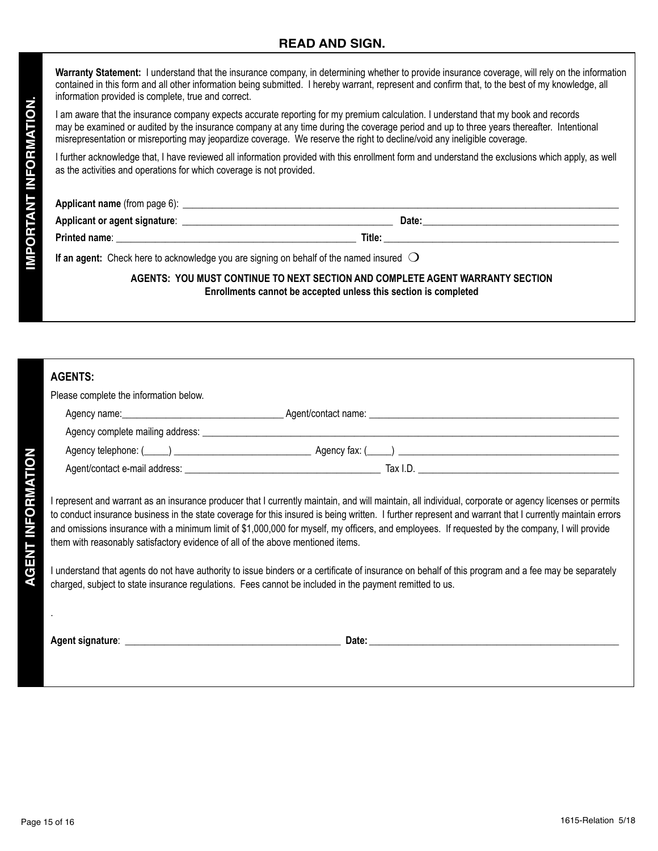### **READ AND SIGN.**

|                                    | Warranty Statement: I understand that the insurance company, in determining whether to provide insurance coverage, will rely on the information<br>contained in this form and all other information being submitted. I hereby warrant, represent and confirm that, to the best of my knowledge, all<br>information provided is complete, true and correct.<br>I am aware that the insurance company expects accurate reporting for my premium calculation. I understand that my book and records |                                                                                                                                                                                                                                                                                                                                                                                                                                                                                                                                                                                                                                                                                                                |  |  |  |
|------------------------------------|--------------------------------------------------------------------------------------------------------------------------------------------------------------------------------------------------------------------------------------------------------------------------------------------------------------------------------------------------------------------------------------------------------------------------------------------------------------------------------------------------|----------------------------------------------------------------------------------------------------------------------------------------------------------------------------------------------------------------------------------------------------------------------------------------------------------------------------------------------------------------------------------------------------------------------------------------------------------------------------------------------------------------------------------------------------------------------------------------------------------------------------------------------------------------------------------------------------------------|--|--|--|
|                                    |                                                                                                                                                                                                                                                                                                                                                                                                                                                                                                  | may be examined or audited by the insurance company at any time during the coverage period and up to three years thereafter. Intentional<br>misrepresentation or misreporting may jeopardize coverage. We reserve the right to decline/void any ineligible coverage.                                                                                                                                                                                                                                                                                                                                                                                                                                           |  |  |  |
| <b>IMPORTANT INFORMATION</b>       | as the activities and operations for which coverage is not provided.                                                                                                                                                                                                                                                                                                                                                                                                                             | I further acknowledge that, I have reviewed all information provided with this enrollment form and understand the exclusions which apply, as well                                                                                                                                                                                                                                                                                                                                                                                                                                                                                                                                                              |  |  |  |
|                                    |                                                                                                                                                                                                                                                                                                                                                                                                                                                                                                  |                                                                                                                                                                                                                                                                                                                                                                                                                                                                                                                                                                                                                                                                                                                |  |  |  |
|                                    |                                                                                                                                                                                                                                                                                                                                                                                                                                                                                                  |                                                                                                                                                                                                                                                                                                                                                                                                                                                                                                                                                                                                                                                                                                                |  |  |  |
|                                    |                                                                                                                                                                                                                                                                                                                                                                                                                                                                                                  |                                                                                                                                                                                                                                                                                                                                                                                                                                                                                                                                                                                                                                                                                                                |  |  |  |
|                                    |                                                                                                                                                                                                                                                                                                                                                                                                                                                                                                  | If an agent: Check here to acknowledge you are signing on behalf of the named insured $\bigcirc$                                                                                                                                                                                                                                                                                                                                                                                                                                                                                                                                                                                                               |  |  |  |
|                                    |                                                                                                                                                                                                                                                                                                                                                                                                                                                                                                  | AGENTS: YOU MUST CONTINUE TO NEXT SECTION AND COMPLETE AGENT WARRANTY SECTION<br>Enrollments cannot be accepted unless this section is completed                                                                                                                                                                                                                                                                                                                                                                                                                                                                                                                                                               |  |  |  |
|                                    |                                                                                                                                                                                                                                                                                                                                                                                                                                                                                                  |                                                                                                                                                                                                                                                                                                                                                                                                                                                                                                                                                                                                                                                                                                                |  |  |  |
|                                    | <b>AGENTS:</b>                                                                                                                                                                                                                                                                                                                                                                                                                                                                                   |                                                                                                                                                                                                                                                                                                                                                                                                                                                                                                                                                                                                                                                                                                                |  |  |  |
|                                    | Please complete the information below.                                                                                                                                                                                                                                                                                                                                                                                                                                                           |                                                                                                                                                                                                                                                                                                                                                                                                                                                                                                                                                                                                                                                                                                                |  |  |  |
|                                    |                                                                                                                                                                                                                                                                                                                                                                                                                                                                                                  | Agency name: <u>contained a series and a series are allegened</u> and a series and a series and a series and a series and a series and a series and a series and a series and a series and a series and a series are a series and a                                                                                                                                                                                                                                                                                                                                                                                                                                                                            |  |  |  |
|                                    |                                                                                                                                                                                                                                                                                                                                                                                                                                                                                                  |                                                                                                                                                                                                                                                                                                                                                                                                                                                                                                                                                                                                                                                                                                                |  |  |  |
|                                    |                                                                                                                                                                                                                                                                                                                                                                                                                                                                                                  |                                                                                                                                                                                                                                                                                                                                                                                                                                                                                                                                                                                                                                                                                                                |  |  |  |
|                                    |                                                                                                                                                                                                                                                                                                                                                                                                                                                                                                  |                                                                                                                                                                                                                                                                                                                                                                                                                                                                                                                                                                                                                                                                                                                |  |  |  |
| <b>INFORMATION</b><br><b>AGENT</b> |                                                                                                                                                                                                                                                                                                                                                                                                                                                                                                  | I represent and warrant as an insurance producer that I currently maintain, and will maintain, all individual, corporate or agency licenses or permits<br>to conduct insurance business in the state coverage for this insured is being written. I further represent and warrant that I currently maintain errors<br>and omissions insurance with a minimum limit of \$1,000,000 for myself, my officers, and employees. If requested by the company, I will provide<br>them with reasonably satisfactory evidence of all of the above mentioned items.<br>I understand that agents do not have authority to issue binders or a certificate of insurance on behalf of this program and a fee may be separately |  |  |  |
|                                    |                                                                                                                                                                                                                                                                                                                                                                                                                                                                                                  | charged, subject to state insurance regulations. Fees cannot be included in the payment remitted to us.                                                                                                                                                                                                                                                                                                                                                                                                                                                                                                                                                                                                        |  |  |  |
|                                    |                                                                                                                                                                                                                                                                                                                                                                                                                                                                                                  |                                                                                                                                                                                                                                                                                                                                                                                                                                                                                                                                                                                                                                                                                                                |  |  |  |
|                                    | Page 15 of 16                                                                                                                                                                                                                                                                                                                                                                                                                                                                                    | 1615-Relation 5/18                                                                                                                                                                                                                                                                                                                                                                                                                                                                                                                                                                                                                                                                                             |  |  |  |

### **AGENTS:**

| Please complete the information below. |                                                                                 |  |
|----------------------------------------|---------------------------------------------------------------------------------|--|
| Agency name: Agency name:              | Agent/contact name:                                                             |  |
| Agency complete mailing address:       |                                                                                 |  |
|                                        | Agency fax: (_____<br><u> 1989 - John Stone, Amerikaansk politiker (* 1989)</u> |  |
| Agent/contact e-mail address:          | Tax I.D.                                                                        |  |